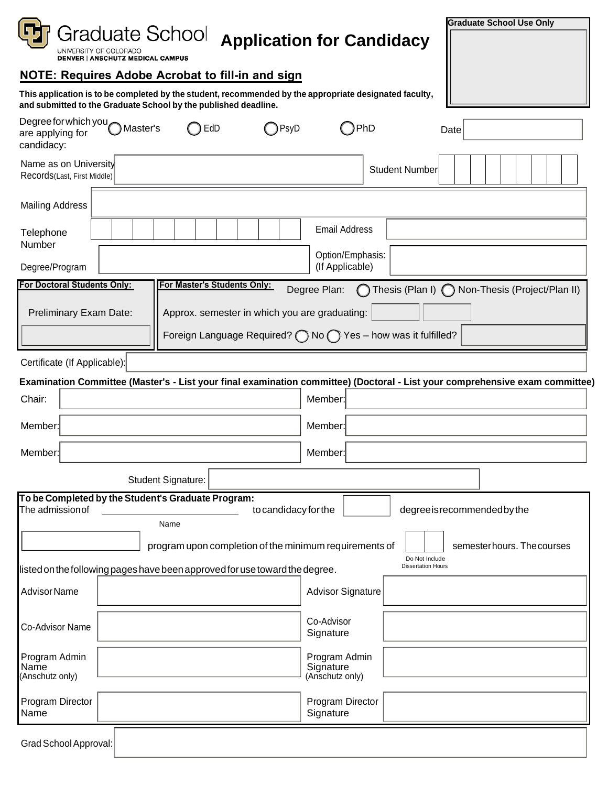|                                                                                                                                                                           | <b>Graduate School Use Only</b>                                                                                              |  |  |  |  |  |  |  |  |
|---------------------------------------------------------------------------------------------------------------------------------------------------------------------------|------------------------------------------------------------------------------------------------------------------------------|--|--|--|--|--|--|--|--|
| Graduate School<br>UNIVERSITY OF COLORADO<br><b>DENVER   ANSCHUTZ MEDICAL CAMPUS</b>                                                                                      | <b>Application for Candidacy</b>                                                                                             |  |  |  |  |  |  |  |  |
| <b>NOTE: Requires Adobe Acrobat to fill-in and sign</b>                                                                                                                   |                                                                                                                              |  |  |  |  |  |  |  |  |
| This application is to be completed by the student, recommended by the appropriate designated faculty,<br>and submitted to the Graduate School by the published deadline. |                                                                                                                              |  |  |  |  |  |  |  |  |
| Degree for which you Master's<br>◯ EdD<br>) PsyD<br>are applying for<br>candidacy:                                                                                        | )PhD<br>Date                                                                                                                 |  |  |  |  |  |  |  |  |
| Name as on University<br>Records(Last, First Middle)                                                                                                                      | <b>Student Number</b>                                                                                                        |  |  |  |  |  |  |  |  |
| <b>Mailing Address</b>                                                                                                                                                    |                                                                                                                              |  |  |  |  |  |  |  |  |
| Telephone<br>Number                                                                                                                                                       | <b>Email Address</b>                                                                                                         |  |  |  |  |  |  |  |  |
| Degree/Program                                                                                                                                                            | Option/Emphasis:<br>(If Applicable)                                                                                          |  |  |  |  |  |  |  |  |
| For Doctoral Students Only:<br>For Master's Students Only:                                                                                                                | Degree Plan:<br>◯ Thesis (Plan I) ◯ Non-Thesis (Project/Plan II)                                                             |  |  |  |  |  |  |  |  |
| Preliminary Exam Date:<br>Approx. semester in which you are graduating:                                                                                                   |                                                                                                                              |  |  |  |  |  |  |  |  |
|                                                                                                                                                                           | Foreign Language Required? $\bigcap$ No $\bigcap$ Yes - how was it fulfilled?                                                |  |  |  |  |  |  |  |  |
| Certificate (If Applicable):                                                                                                                                              |                                                                                                                              |  |  |  |  |  |  |  |  |
|                                                                                                                                                                           | Examination Committee (Master's - List your final examination committee) (Doctoral - List your comprehensive exam committee) |  |  |  |  |  |  |  |  |
| Chair:                                                                                                                                                                    | Member:                                                                                                                      |  |  |  |  |  |  |  |  |
| Member:                                                                                                                                                                   | Member:                                                                                                                      |  |  |  |  |  |  |  |  |
| Member:                                                                                                                                                                   | Member:                                                                                                                      |  |  |  |  |  |  |  |  |
| Student Signature:                                                                                                                                                        |                                                                                                                              |  |  |  |  |  |  |  |  |
| To be Completed by the Student's Graduate Program:<br>The admission of                                                                                                    | to candidacy for the<br>degree is recommended by the                                                                         |  |  |  |  |  |  |  |  |
| Name                                                                                                                                                                      |                                                                                                                              |  |  |  |  |  |  |  |  |
| semesterhours. The courses<br>program upon completion of the minimum requirements of<br>Do Not Include<br><b>Dissertation Hours</b>                                       |                                                                                                                              |  |  |  |  |  |  |  |  |
| listed on the following pages have been approved for use toward the degree.                                                                                               |                                                                                                                              |  |  |  |  |  |  |  |  |
| <b>Advisor Name</b>                                                                                                                                                       | <b>Advisor Signature</b>                                                                                                     |  |  |  |  |  |  |  |  |
| Co-Advisor Name                                                                                                                                                           | Co-Advisor<br>Signature                                                                                                      |  |  |  |  |  |  |  |  |
| Program Admin<br>Name<br>(Anschutz only)                                                                                                                                  | Program Admin<br>Signature<br>(Anschutz only)                                                                                |  |  |  |  |  |  |  |  |
| Program Director<br>Name                                                                                                                                                  | Program Director<br>Signature                                                                                                |  |  |  |  |  |  |  |  |
| Grad School Approval:                                                                                                                                                     |                                                                                                                              |  |  |  |  |  |  |  |  |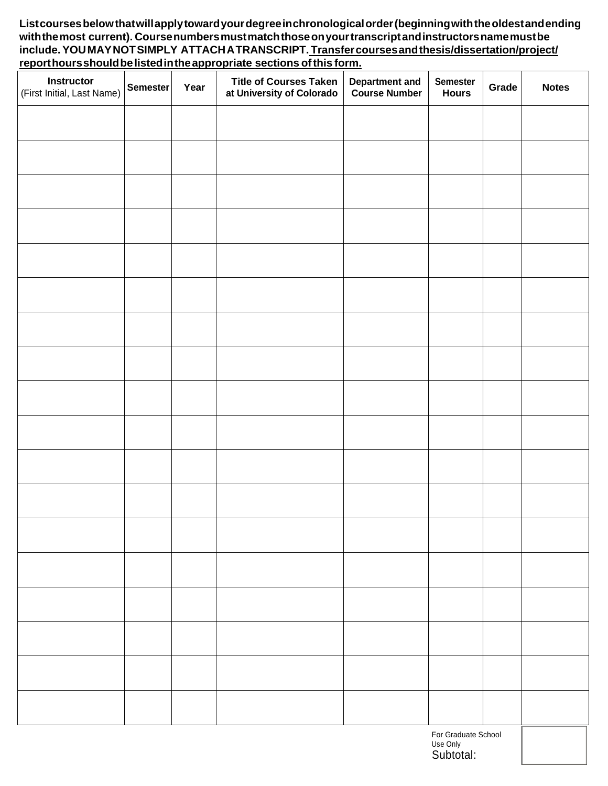**Listcourses below that will apply toward your degree in chronological order (beginning with the oldest and ending with the most current). Course numbers must match those on your transcript and instructors name must be include. YOU MAY NOT SIMPLY ATTACH A TRANSCRIPT. Transfer courses and thesis/dissertation/project/ report hours should be listed inthe appropriate sections of this form.** 

| <b>Instructor</b><br>(First Initial, Last Name) | Semester | Year | <b>Title of Courses Taken</b><br>at University of Colorado | <b>Department and<br/>Course Number</b> | Semester<br><b>Hours</b>                     | Grade | <b>Notes</b> |
|-------------------------------------------------|----------|------|------------------------------------------------------------|-----------------------------------------|----------------------------------------------|-------|--------------|
|                                                 |          |      |                                                            |                                         |                                              |       |              |
|                                                 |          |      |                                                            |                                         |                                              |       |              |
|                                                 |          |      |                                                            |                                         |                                              |       |              |
|                                                 |          |      |                                                            |                                         |                                              |       |              |
|                                                 |          |      |                                                            |                                         |                                              |       |              |
|                                                 |          |      |                                                            |                                         |                                              |       |              |
|                                                 |          |      |                                                            |                                         |                                              |       |              |
|                                                 |          |      |                                                            |                                         |                                              |       |              |
|                                                 |          |      |                                                            |                                         |                                              |       |              |
|                                                 |          |      |                                                            |                                         |                                              |       |              |
|                                                 |          |      |                                                            |                                         |                                              |       |              |
|                                                 |          |      |                                                            |                                         |                                              |       |              |
|                                                 |          |      |                                                            |                                         |                                              |       |              |
|                                                 |          |      |                                                            |                                         |                                              |       |              |
|                                                 |          |      |                                                            |                                         |                                              |       |              |
|                                                 |          |      |                                                            |                                         |                                              |       |              |
|                                                 |          |      |                                                            |                                         |                                              |       |              |
|                                                 |          |      |                                                            |                                         |                                              |       |              |
|                                                 |          |      |                                                            |                                         | For Graduate School<br>Use Only<br>Subtotal: |       |              |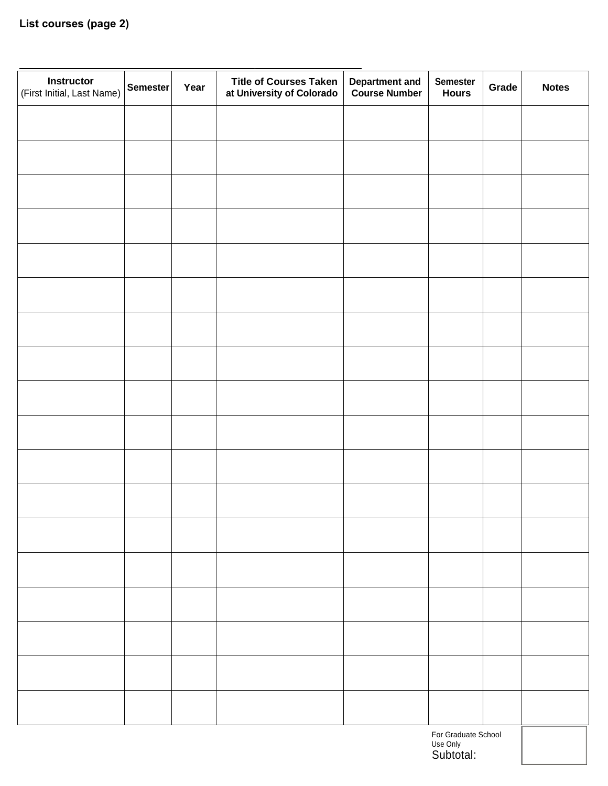| Instructor<br>(First Initial, Last Name)     | <b>Semester</b> | Year | <b>Title of Courses Taken</b><br>at University of Colorado | <b>Department and<br/>Course Number</b> | <b>Semester</b><br><b>Hours</b> | Grade | <b>Notes</b> |
|----------------------------------------------|-----------------|------|------------------------------------------------------------|-----------------------------------------|---------------------------------|-------|--------------|
|                                              |                 |      |                                                            |                                         |                                 |       |              |
|                                              |                 |      |                                                            |                                         |                                 |       |              |
|                                              |                 |      |                                                            |                                         |                                 |       |              |
|                                              |                 |      |                                                            |                                         |                                 |       |              |
|                                              |                 |      |                                                            |                                         |                                 |       |              |
|                                              |                 |      |                                                            |                                         |                                 |       |              |
|                                              |                 |      |                                                            |                                         |                                 |       |              |
|                                              |                 |      |                                                            |                                         |                                 |       |              |
|                                              |                 |      |                                                            |                                         |                                 |       |              |
|                                              |                 |      |                                                            |                                         |                                 |       |              |
|                                              |                 |      |                                                            |                                         |                                 |       |              |
|                                              |                 |      |                                                            |                                         |                                 |       |              |
|                                              |                 |      |                                                            |                                         |                                 |       |              |
|                                              |                 |      |                                                            |                                         |                                 |       |              |
|                                              |                 |      |                                                            |                                         |                                 |       |              |
|                                              |                 |      |                                                            |                                         |                                 |       |              |
|                                              |                 |      |                                                            |                                         |                                 |       |              |
|                                              |                 |      |                                                            |                                         |                                 |       |              |
| For Graduate School<br>Use Only<br>Subtotal: |                 |      |                                                            |                                         |                                 |       |              |